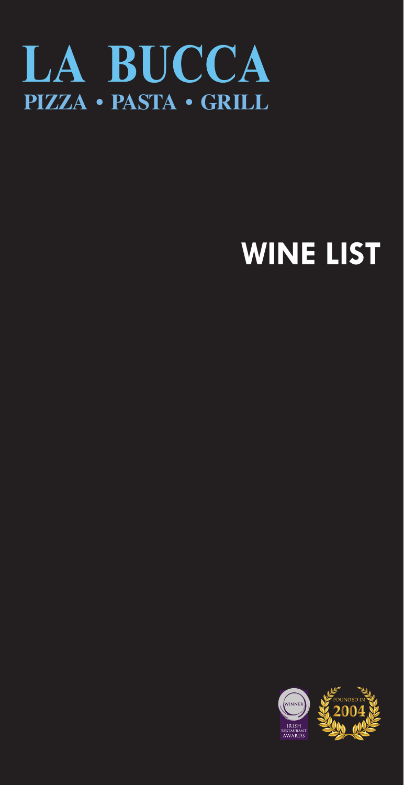

## **WINE LIST**

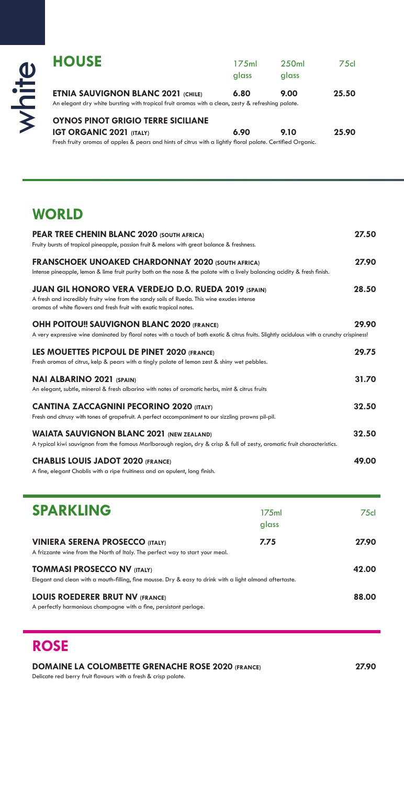| $\bf 0$<br>亡 | <b>HOUSE</b>                                                                                                                                   | 175ml<br>glass | 250 <sub>ml</sub><br>glass | 75cl  |
|--------------|------------------------------------------------------------------------------------------------------------------------------------------------|----------------|----------------------------|-------|
|              | <b>ETNIA SAUVIGNON BLANC 2021 (CHILE)</b><br>An elegant dry white bursting with tropical fruit aromas with a clean, zesty & refreshing palate. | 6.80           | 9.00                       | 25.50 |
|              | <b>OYNOS PINOT GRIGIO TERRE SICILIANE</b><br><b>IGT ORGANIC 2021 (ITALY)</b>                                                                   | 6.90           | 9.10                       | 25.90 |

Fresh fruity aromas of apples & pears and hints of citrus with a lightly floral palate. Certified Organic.

## **WORLD**

| PEAR TREE CHENIN BLANC 2020 (SOUTH AFRICA)                                                                                                                        | 27.50 |
|-------------------------------------------------------------------------------------------------------------------------------------------------------------------|-------|
| Fruity bursts of tropical pineapple, passion fruit & melons with great balance & freshness.                                                                       |       |
| <b>FRANSCHOEK UNOAKED CHARDONNAY 2020 (SOUTH AFRICA)</b>                                                                                                          | 27.90 |
| Intense pineapple, lemon & lime fruit purity both on the nose & the palate with a lively balancing acidity & fresh finish.                                        |       |
| <b>JUAN GIL HONORO VERA VERDEJO D.O. RUEDA 2019 (SPAIN)</b>                                                                                                       | 28.50 |
| A fresh and incredibly fruity wine from the sandy soils of Rueda. This wine exudes intense<br>aromas of white flowers and fresh fruit with exotic tropical notes. |       |
|                                                                                                                                                                   |       |
| <b>OHH POITOU!! SAUVIGNON BLANC 2020 (FRANCE)</b>                                                                                                                 | 29.90 |
| A very expressive wine dominated by floral notes with a touch of both exotic & citrus fruits. Slightly acidulous with a crunchy crispiness!                       |       |
| LES MOUETTES PICPOUL DE PINET 2020 (FRANCE)                                                                                                                       | 29.75 |
| Fresh aromas of citrus, kelp & pears with a tingly palate of lemon zest & shiny wet pebbles.                                                                      |       |
| <b>NAI ALBARINO 2021 (SPAIN)</b>                                                                                                                                  | 31.70 |
| An elegant, subtle, mineral & fresh albarino with notes of aromatic herbs, mint & citrus fruits                                                                   |       |
| <b>CANTINA ZACCAGNINI PECORINO 2020 (ITALY)</b>                                                                                                                   | 32.50 |
| Fresh and citrusy with tones of grapefruit. A perfect accompaniment to our sizzling prawns pil-pil.                                                               |       |
| <b>WAIATA SAUVIGNON BLANC 2021 (NEW ZEALAND)</b>                                                                                                                  | 32.50 |
| A typical kiwi sauvignon from the famous Marlborough region, dry & crisp & full of zesty, aromatic fruit characteristics.                                         |       |
| <b>CHABLIS LOUIS JADOT 2020 (FRANCE)</b>                                                                                                                          | 49.00 |
| A fine, elegant Chablis with a ripe fruitiness and an opulent, long finish.                                                                                       |       |

| <b>SPARKLING</b>                                                                                                                               | 175 <sub>ml</sub><br>glass | 75cl  |
|------------------------------------------------------------------------------------------------------------------------------------------------|----------------------------|-------|
| <b>VINIERA SERENA PROSECCO (ITALY)</b><br>A frizzante wine from the North of Italy. The perfect way to start your meal.                        | 7.75                       | 27.90 |
| <b>TOMMASI PROSECCO NV (ITALY)</b><br>Elegant and clean with a mouth-filling, fine mousse. Dry & easy to drink with a light almond aftertaste. |                            | 42.00 |
| <b>LOUIS ROEDERER BRUT NV (FRANCE)</b><br>A perfectly harmonious champagne with a fine, persistant perlage.                                    |                            | 88.00 |

## **ROSE**

## **DOMAINE LA COLOMBETTE GRENACHE ROSE 2020 (FRANCE) 27.90**

Delicate red berry fruit flavours with a fresh & crisp palate.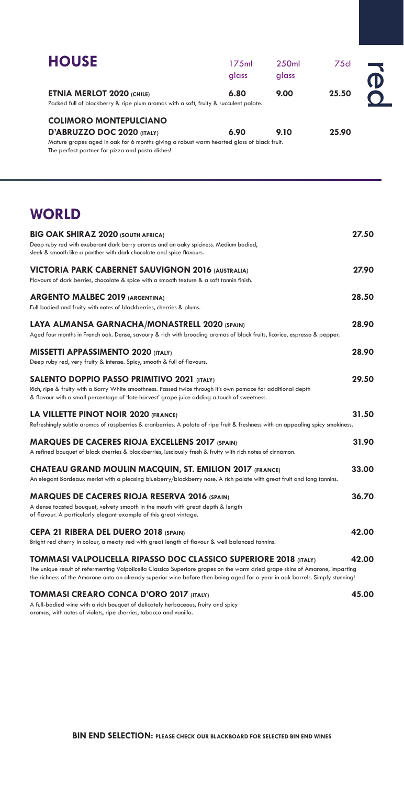| <b>HOUSE</b>                                                                                                                                                                                                                                                                                                                     | 175ml<br>glass | 250ml<br>glass | 75cl  |        |
|----------------------------------------------------------------------------------------------------------------------------------------------------------------------------------------------------------------------------------------------------------------------------------------------------------------------------------|----------------|----------------|-------|--------|
| <b>ETNIA MERLOT 2020 (CHILE)</b><br>Packed full of blackberry & ripe plum aromas with a soft, fruity & succulent palate.                                                                                                                                                                                                         | 6.80           | 9.00           | 25.50 | D<br>C |
| <b>COLIMORO MONTEPULCIANO</b><br>D'ABRUZZO DOC 2020 (ITALY)                                                                                                                                                                                                                                                                      | 6.90           | 9.10           | 25.90 |        |
| Mature grapes aged in oak for 6 months giving a robust warm hearted glass of black fruit.<br>The perfect partner for pizza and pasta dishes!                                                                                                                                                                                     |                |                |       |        |
| <b>WORLD</b>                                                                                                                                                                                                                                                                                                                     |                |                |       |        |
| <b>BIG OAK SHIRAZ 2020 (SOUTH AFRICA)</b>                                                                                                                                                                                                                                                                                        |                |                |       | 27.50  |
| Deep ruby red with exuberant dark berry aromas and an oaky spiciness. Medium bodied,<br>sleek & smooth like a panther with dark chocolate and spice flavours.                                                                                                                                                                    |                |                |       |        |
| VICTORIA PARK CABERNET SAUVIGNON 2016 (AUSTRALIA)<br>Flavours of dark berries, chocolate & spice with a smooth texture & a soft tannin finish.                                                                                                                                                                                   |                |                |       | 27.90  |
| <b>ARGENTO MALBEC 2019 (ARGENTINA)</b><br>Full bodied and fruity with notes of blackberries, cherries & plums.                                                                                                                                                                                                                   |                |                |       | 28.50  |
| LAYA ALMANSA GARNACHA/MONASTRELL 2020 (SPAIN)<br>Aged four months in French oak. Dense, savoury & rich with brooding aromas of black fruits, licorice, espresso & pepper.                                                                                                                                                        |                |                |       | 28.90  |
| <b>MISSETTI APPASSIMENTO 2020 (ITALY)</b><br>Deep ruby red, very fruity & intense. Spicy, smooth & full of flavours.                                                                                                                                                                                                             |                |                |       | 28.90  |
| <b>SALENTO DOPPIO PASSO PRIMITIVO 2021 (ITALY)</b><br>Rich, ripe & fruity with a Barry White smoothness. Passed twice through it's own pomace for additional depth<br>& flavour with a small percentage of 'late harvest' grape juice adding a touch of sweetness.                                                               |                |                |       | 29.50  |
| LA VILLETTE PINOT NOIR 2020 (FRANCE)<br>Refreshingly subtle aromas of raspberries & cranberries. A palate of ripe fruit & freshness with an appealing spicy smokiness.                                                                                                                                                           |                |                |       | 31.50  |
| <b>MARQUES DE CACERES RIOJA EXCELLENS 2017 (SPAIN)</b><br>A refined bouquet of black cherries & blackberries, lusciously fresh & fruity with rich notes of cinnamon.                                                                                                                                                             |                |                |       | 31.90  |
| <b>CHATEAU GRAND MOULIN MACQUIN, ST. EMILION 2017 (FRANCE)</b><br>An elegant Bordeaux merlot with a pleasing blueberry/blackberry nose. A rich palate with great fruit and long tannins.                                                                                                                                         |                |                |       | 33.00  |
| <b>MARQUES DE CACERES RIOJA RESERVA 2016 (SPAIN)</b><br>A dense toasted bouquet, velvety smooth in the mouth with great depth & length<br>of flavour. A particularly elegant example of this great vintage.                                                                                                                      |                |                |       | 36.70  |
| CEPA 21 RIBERA DEL DUERO 2018 (SPAIN)<br>Bright red cherry in colour, a meaty red with great length of flavour & well balanced tannins.                                                                                                                                                                                          |                |                |       | 42.00  |
| TOMMASI VALPOLICELLA RIPASSO DOC CLASSICO SUPERIORE 2018 (ITALY)<br>The unique result of refermenting Valpolicella Classico Superiore grapes on the warm dried grape skins of Amarone, imparting<br>the richness of the Amarone onto an already superior wine before then being aged for a year in oak barrels. Simply stunning! |                |                |       | 42.00  |
| <b>TOMMASI CREARO CONCA D'ORO 2017 (ITALY)</b>                                                                                                                                                                                                                                                                                   |                |                |       | 45.00  |

A full-bodied wine with a rich bouquet of delicately herbaceous, fruity and spicy aromas, with notes of violets, ripe cherries, tobacco and vanilla.